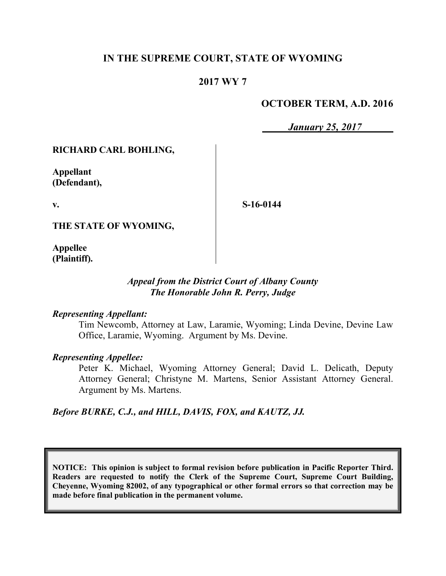# **IN THE SUPREME COURT, STATE OF WYOMING**

## **2017 WY 7**

#### **OCTOBER TERM, A.D. 2016**

*January 25, 2017*

#### **RICHARD CARL BOHLING,**

**Appellant (Defendant),**

**v.**

**S-16-0144**

**THE STATE OF WYOMING,**

**Appellee (Plaintiff).**

#### *Appeal from the District Court of Albany County The Honorable John R. Perry, Judge*

#### *Representing Appellant:*

Tim Newcomb, Attorney at Law, Laramie, Wyoming; Linda Devine, Devine Law Office, Laramie, Wyoming. Argument by Ms. Devine.

#### *Representing Appellee:*

Peter K. Michael, Wyoming Attorney General; David L. Delicath, Deputy Attorney General; Christyne M. Martens, Senior Assistant Attorney General. Argument by Ms. Martens.

*Before BURKE, C.J., and HILL, DAVIS, FOX, and KAUTZ, JJ.*

**NOTICE: This opinion is subject to formal revision before publication in Pacific Reporter Third. Readers are requested to notify the Clerk of the Supreme Court, Supreme Court Building, Cheyenne, Wyoming 82002, of any typographical or other formal errors so that correction may be made before final publication in the permanent volume.**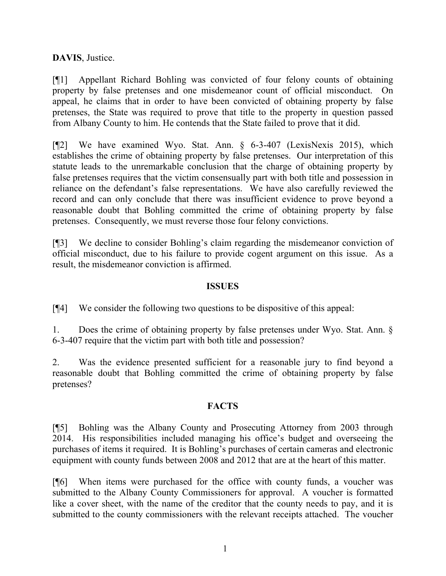**DAVIS**, Justice.

[¶1] Appellant Richard Bohling was convicted of four felony counts of obtaining property by false pretenses and one misdemeanor count of official misconduct. On appeal, he claims that in order to have been convicted of obtaining property by false pretenses, the State was required to prove that title to the property in question passed from Albany County to him. He contends that the State failed to prove that it did.

[¶2] We have examined Wyo. Stat. Ann. § 6-3-407 (LexisNexis 2015), which establishes the crime of obtaining property by false pretenses. Our interpretation of this statute leads to the unremarkable conclusion that the charge of obtaining property by false pretenses requires that the victim consensually part with both title and possession in reliance on the defendant's false representations. We have also carefully reviewed the record and can only conclude that there was insufficient evidence to prove beyond a reasonable doubt that Bohling committed the crime of obtaining property by false pretenses. Consequently, we must reverse those four felony convictions.

[¶3] We decline to consider Bohling's claim regarding the misdemeanor conviction of official misconduct, due to his failure to provide cogent argument on this issue. As a result, the misdemeanor conviction is affirmed.

#### **ISSUES**

[¶4] We consider the following two questions to be dispositive of this appeal:

1. Does the crime of obtaining property by false pretenses under Wyo. Stat. Ann. § 6-3-407 require that the victim part with both title and possession?

2. Was the evidence presented sufficient for a reasonable jury to find beyond a reasonable doubt that Bohling committed the crime of obtaining property by false pretenses?

## **FACTS**

[¶5] Bohling was the Albany County and Prosecuting Attorney from 2003 through 2014. His responsibilities included managing his office's budget and overseeing the purchases of items it required. It is Bohling's purchases of certain cameras and electronic equipment with county funds between 2008 and 2012 that are at the heart of this matter.

[¶6] When items were purchased for the office with county funds, a voucher was submitted to the Albany County Commissioners for approval. A voucher is formatted like a cover sheet, with the name of the creditor that the county needs to pay, and it is submitted to the county commissioners with the relevant receipts attached. The voucher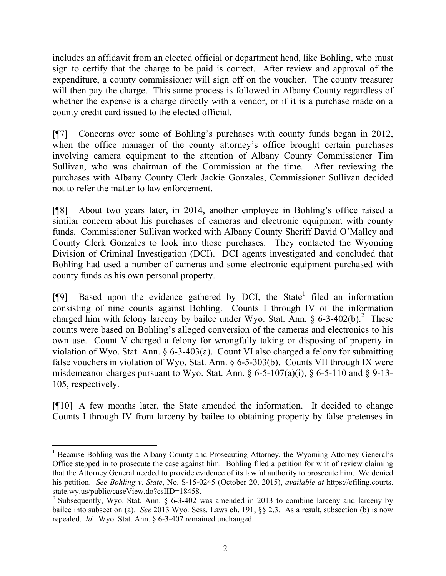includes an affidavit from an elected official or department head, like Bohling, who must sign to certify that the charge to be paid is correct. After review and approval of the expenditure, a county commissioner will sign off on the voucher. The county treasurer will then pay the charge. This same process is followed in Albany County regardless of whether the expense is a charge directly with a vendor, or if it is a purchase made on a county credit card issued to the elected official.

[¶7] Concerns over some of Bohling's purchases with county funds began in 2012, when the office manager of the county attorney's office brought certain purchases involving camera equipment to the attention of Albany County Commissioner Tim Sullivan, who was chairman of the Commission at the time. After reviewing the purchases with Albany County Clerk Jackie Gonzales, Commissioner Sullivan decided not to refer the matter to law enforcement.

[¶8] About two years later, in 2014, another employee in Bohling's office raised a similar concern about his purchases of cameras and electronic equipment with county funds. Commissioner Sullivan worked with Albany County Sheriff David O'Malley and County Clerk Gonzales to look into those purchases. They contacted the Wyoming Division of Criminal Investigation (DCI). DCI agents investigated and concluded that Bohling had used a number of cameras and some electronic equipment purchased with county funds as his own personal property.

[¶9] Based upon the evidence gathered by DCI, the State<sup>1</sup> filed an information consisting of nine counts against Bohling. Counts I through IV of the information charged him with felony larceny by bailee under Wyo. Stat. Ann.  $\S 6-3-402(b)$ .<sup>2</sup> These counts were based on Bohling's alleged conversion of the cameras and electronics to his own use. Count V charged a felony for wrongfully taking or disposing of property in violation of Wyo. Stat. Ann. § 6-3-403(a). Count VI also charged a felony for submitting false vouchers in violation of Wyo. Stat. Ann. § 6-5-303(b). Counts VII through IX were misdemeanor charges pursuant to Wyo. Stat. Ann.  $\S 6-5-107(a)(i)$ ,  $\S 6-5-110$  and  $\S 9-13-$ 105, respectively.

[¶10] A few months later, the State amended the information. It decided to change Counts I through IV from larceny by bailee to obtaining property by false pretenses in

l

<sup>&</sup>lt;sup>1</sup> Because Bohling was the Albany County and Prosecuting Attorney, the Wyoming Attorney General's Office stepped in to prosecute the case against him. Bohling filed a petition for writ of review claiming that the Attorney General needed to provide evidence of its lawful authority to prosecute him. We denied his petition. *See Bohling v. State*, No. S-15-0245 (October 20, 2015), *available at* https://efiling.courts. state.wy.us/public/caseView.do?csIID=18458.

<sup>&</sup>lt;sup>2</sup> Subsequently, Wyo. Stat. Ann. § 6-3-402 was amended in 2013 to combine larceny and larceny by bailee into subsection (a). *See* 2013 Wyo. Sess. Laws ch. 191, §§ 2,3. As a result, subsection (b) is now repealed. *Id.* Wyo. Stat. Ann. § 6-3-407 remained unchanged.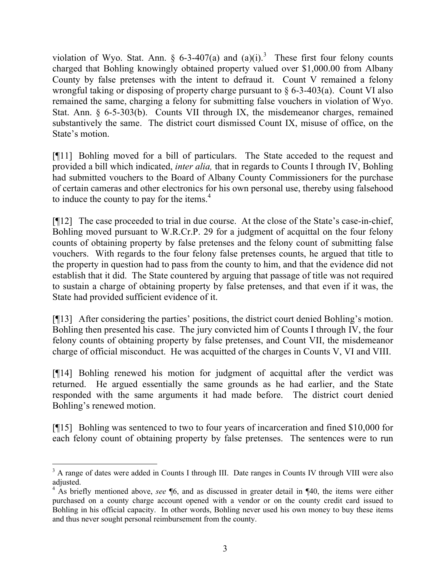violation of Wyo. Stat. Ann. § 6-3-407(a) and  $(a)(i)$ .<sup>3</sup> These first four felony counts charged that Bohling knowingly obtained property valued over \$1,000.00 from Albany County by false pretenses with the intent to defraud it. Count V remained a felony wrongful taking or disposing of property charge pursuant to  $\S 6$ -3-403(a). Count VI also remained the same, charging a felony for submitting false vouchers in violation of Wyo. Stat. Ann. § 6-5-303(b). Counts VII through IX, the misdemeanor charges, remained substantively the same. The district court dismissed Count IX, misuse of office, on the State's motion.

[¶11] Bohling moved for a bill of particulars. The State acceded to the request and provided a bill which indicated, *inter alia,* that in regards to Counts I through IV, Bohling had submitted vouchers to the Board of Albany County Commissioners for the purchase of certain cameras and other electronics for his own personal use, thereby using falsehood to induce the county to pay for the items. $4$ 

[¶12] The case proceeded to trial in due course. At the close of the State's case-in-chief, Bohling moved pursuant to W.R.Cr.P. 29 for a judgment of acquittal on the four felony counts of obtaining property by false pretenses and the felony count of submitting false vouchers. With regards to the four felony false pretenses counts, he argued that title to the property in question had to pass from the county to him, and that the evidence did not establish that it did. The State countered by arguing that passage of title was not required to sustain a charge of obtaining property by false pretenses, and that even if it was, the State had provided sufficient evidence of it.

[¶13] After considering the parties' positions, the district court denied Bohling's motion. Bohling then presented his case. The jury convicted him of Counts I through IV, the four felony counts of obtaining property by false pretenses, and Count VII, the misdemeanor charge of official misconduct. He was acquitted of the charges in Counts V, VI and VIII.

[¶14] Bohling renewed his motion for judgment of acquittal after the verdict was returned. He argued essentially the same grounds as he had earlier, and the State responded with the same arguments it had made before. The district court denied Bohling's renewed motion.

[¶15] Bohling was sentenced to two to four years of incarceration and fined \$10,000 for each felony count of obtaining property by false pretenses. The sentences were to run

<sup>&</sup>lt;sup>3</sup> A range of dates were added in Counts I through III. Date ranges in Counts IV through VIII were also adjusted.

<sup>&</sup>lt;sup>4</sup> As briefly mentioned above, *see* ¶6, and as discussed in greater detail in ¶40, the items were either purchased on a county charge account opened with a vendor or on the county credit card issued to Bohling in his official capacity. In other words, Bohling never used his own money to buy these items and thus never sought personal reimbursement from the county.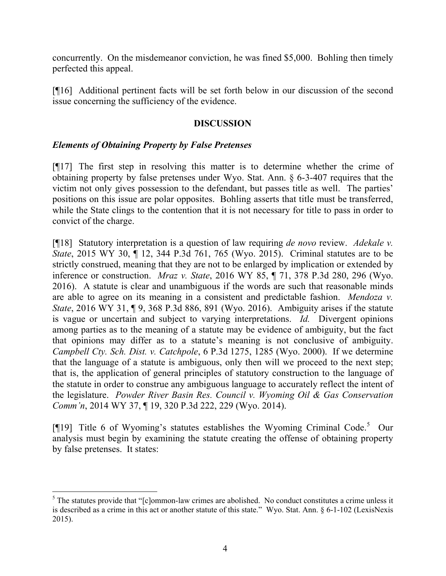concurrently. On the misdemeanor conviction, he was fined \$5,000. Bohling then timely perfected this appeal.

[¶16] Additional pertinent facts will be set forth below in our discussion of the second issue concerning the sufficiency of the evidence.

## **DISCUSSION**

#### *Elements of Obtaining Property by False Pretenses*

l

[¶17] The first step in resolving this matter is to determine whether the crime of obtaining property by false pretenses under Wyo. Stat. Ann. § 6-3-407 requires that the victim not only gives possession to the defendant, but passes title as well. The parties' positions on this issue are polar opposites. Bohling asserts that title must be transferred, while the State clings to the contention that it is not necessary for title to pass in order to convict of the charge.

[¶18] Statutory interpretation is a question of law requiring *de novo* review. *Adekale v. State*, 2015 WY 30, ¶ 12, 344 P.3d 761, 765 (Wyo. 2015). Criminal statutes are to be strictly construed, meaning that they are not to be enlarged by implication or extended by inference or construction. *Mraz v. State*, 2016 WY 85, ¶ 71, 378 P.3d 280, 296 (Wyo. 2016). A statute is clear and unambiguous if the words are such that reasonable minds are able to agree on its meaning in a consistent and predictable fashion. *Mendoza v. State*, 2016 WY 31, ¶ 9, 368 P.3d 886, 891 (Wyo. 2016). Ambiguity arises if the statute is vague or uncertain and subject to varying interpretations. *Id.* Divergent opinions among parties as to the meaning of a statute may be evidence of ambiguity, but the fact that opinions may differ as to a statute's meaning is not conclusive of ambiguity. *Campbell Cty. Sch. Dist. v. Catchpole*, 6 P.3d 1275, 1285 (Wyo. 2000). If we determine that the language of a statute is ambiguous, only then will we proceed to the next step; that is, the application of general principles of statutory construction to the language of the statute in order to construe any ambiguous language to accurately reflect the intent of the legislature. *Powder River Basin Res. Council v. Wyoming Oil & Gas Conservation Comm'n*, 2014 WY 37, ¶ 19, 320 P.3d 222, 229 (Wyo. 2014).

[¶19] Title 6 of Wyoming's statutes establishes the Wyoming Criminal Code.<sup>5</sup> Our analysis must begin by examining the statute creating the offense of obtaining property by false pretenses. It states:

 $5$  The statutes provide that "[c]ommon-law crimes are abolished. No conduct constitutes a crime unless it is described as a crime in this act or another statute of this state." Wyo. Stat. Ann. § 6-1-102 (LexisNexis 2015).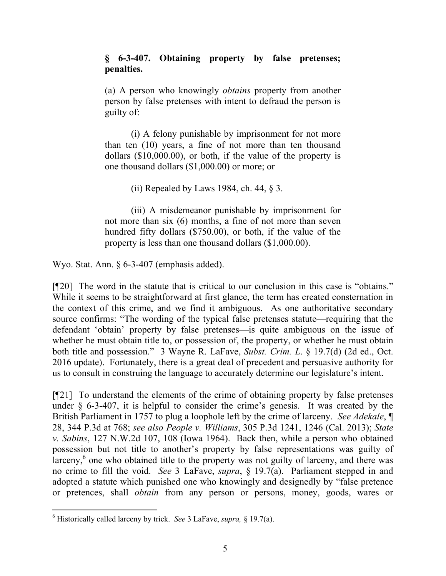## **§ 6-3-407. Obtaining property by false pretenses; penalties.**

(a) A person who knowingly *obtains* property from another person by false pretenses with intent to defraud the person is guilty of:

(i) A felony punishable by imprisonment for not more than ten (10) years, a fine of not more than ten thousand dollars (\$10,000.00), or both, if the value of the property is one thousand dollars (\$1,000.00) or more; or

(ii) Repealed by Laws 1984, ch. 44,  $\S$  3.

(iii) A misdemeanor punishable by imprisonment for not more than six (6) months, a fine of not more than seven hundred fifty dollars (\$750.00), or both, if the value of the property is less than one thousand dollars (\$1,000.00).

Wyo. Stat. Ann. § 6-3-407 (emphasis added).

[¶20] The word in the statute that is critical to our conclusion in this case is "obtains." While it seems to be straightforward at first glance, the term has created consternation in the context of this crime, and we find it ambiguous. As one authoritative secondary source confirms: "The wording of the typical false pretenses statute—requiring that the defendant 'obtain' property by false pretenses—is quite ambiguous on the issue of whether he must obtain title to, or possession of, the property, or whether he must obtain both title and possession." 3 Wayne R. LaFave, *Subst. Crim. L*. § 19.7(d) (2d ed., Oct. 2016 update). Fortunately, there is a great deal of precedent and persuasive authority for us to consult in construing the language to accurately determine our legislature's intent.

[¶21] To understand the elements of the crime of obtaining property by false pretenses under § 6-3-407, it is helpful to consider the crime's genesis. It was created by the British Parliament in 1757 to plug a loophole left by the crime of larceny. *See Adekale*, ¶ 28, 344 P.3d at 768; *see also People v. Williams*, 305 P.3d 1241, 1246 (Cal. 2013); *State v. Sabins*, 127 N.W.2d 107, 108 (Iowa 1964). Back then, while a person who obtained possession but not title to another's property by false representations was guilty of larceny,<sup>6</sup> one who obtained title to the property was not guilty of larceny, and there was no crime to fill the void. *See* 3 LaFave, *supra*, § 19.7(a). Parliament stepped in and adopted a statute which punished one who knowingly and designedly by "false pretence or pretences, shall *obtain* from any person or persons, money, goods, wares or

l

<sup>6</sup> Historically called larceny by trick. *See* 3 LaFave, *supra,* § 19.7(a).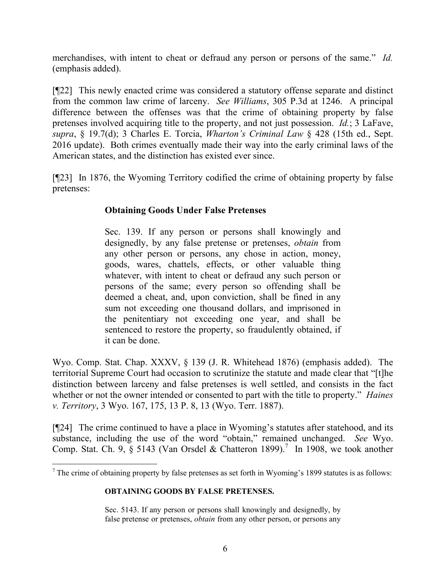merchandises, with intent to cheat or defraud any person or persons of the same." *Id.* (emphasis added).

[¶22] This newly enacted crime was considered a statutory offense separate and distinct from the common law crime of larceny. *See Williams*, 305 P.3d at 1246. A principal difference between the offenses was that the crime of obtaining property by false pretenses involved acquiring title to the property, and not just possession. *Id.*; 3 LaFave, *supra*, § 19.7(d); 3 Charles E. Torcia, *Wharton's Criminal Law* § 428 (15th ed., Sept. 2016 update). Both crimes eventually made their way into the early criminal laws of the American states, and the distinction has existed ever since.

[¶23] In 1876, the Wyoming Territory codified the crime of obtaining property by false pretenses:

# **Obtaining Goods Under False Pretenses**

Sec. 139. If any person or persons shall knowingly and designedly, by any false pretense or pretenses, *obtain* from any other person or persons, any chose in action, money, goods, wares, chattels, effects, or other valuable thing whatever, with intent to cheat or defraud any such person or persons of the same; every person so offending shall be deemed a cheat, and, upon conviction, shall be fined in any sum not exceeding one thousand dollars, and imprisoned in the penitentiary not exceeding one year, and shall be sentenced to restore the property, so fraudulently obtained, if it can be done.

Wyo. Comp. Stat. Chap. XXXV, § 139 (J. R. Whitehead 1876) (emphasis added). The territorial Supreme Court had occasion to scrutinize the statute and made clear that "[t]he distinction between larceny and false pretenses is well settled, and consists in the fact whether or not the owner intended or consented to part with the title to property." *Haines v. Territory*, 3 Wyo. 167, 175, 13 P. 8, 13 (Wyo. Terr. 1887).

[¶24] The crime continued to have a place in Wyoming's statutes after statehood, and its substance, including the use of the word "obtain," remained unchanged. *See* Wyo. Comp. Stat. Ch. 9,  $\S$  5143 (Van Orsdel & Chatteron 1899).<sup>7</sup> In 1908, we took another

#### **OBTAINING GOODS BY FALSE PRETENSES.**

Sec. 5143. If any person or persons shall knowingly and designedly, by false pretense or pretenses, *obtain* from any other person, or persons any

 $<sup>7</sup>$  The crime of obtaining property by false pretenses as set forth in Wyoming's 1899 statutes is as follows:</sup>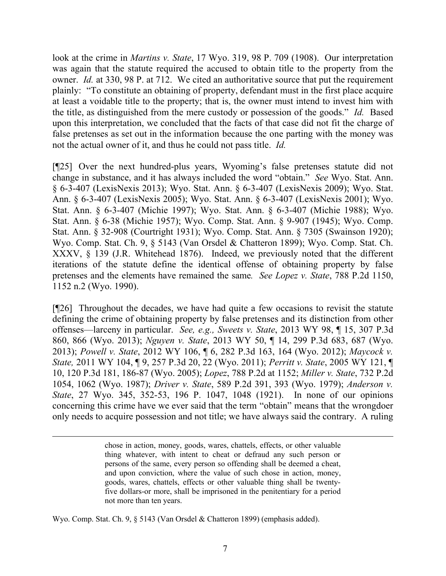look at the crime in *Martins v. State*, 17 Wyo. 319, 98 P. 709 (1908). Our interpretation was again that the statute required the accused to obtain title to the property from the owner. *Id.* at 330, 98 P. at 712. We cited an authoritative source that put the requirement plainly: "To constitute an obtaining of property, defendant must in the first place acquire at least a voidable title to the property; that is, the owner must intend to invest him with the title, as distinguished from the mere custody or possession of the goods." *Id.* Based upon this interpretation, we concluded that the facts of that case did not fit the charge of false pretenses as set out in the information because the one parting with the money was not the actual owner of it, and thus he could not pass title. *Id.*

[¶25] Over the next hundred-plus years, Wyoming's false pretenses statute did not change in substance, and it has always included the word "obtain." *See* Wyo. Stat. Ann. § 6-3-407 (LexisNexis 2013); Wyo. Stat. Ann. § 6-3-407 (LexisNexis 2009); Wyo. Stat. Ann. § 6-3-407 (LexisNexis 2005); Wyo. Stat. Ann. § 6-3-407 (LexisNexis 2001); Wyo. Stat. Ann. § 6-3-407 (Michie 1997); Wyo. Stat. Ann. § 6-3-407 (Michie 1988); Wyo. Stat. Ann. § 6-38 (Michie 1957); Wyo. Comp. Stat. Ann. § 9-907 (1945); Wyo. Comp. Stat. Ann. § 32-908 (Courtright 1931); Wyo. Comp. Stat. Ann. § 7305 (Swainson 1920); Wyo. Comp. Stat. Ch. 9, § 5143 (Van Orsdel & Chatteron 1899); Wyo. Comp. Stat. Ch. XXXV, § 139 (J.R. Whitehead 1876). Indeed, we previously noted that the different iterations of the statute define the identical offense of obtaining property by false pretenses and the elements have remained the same*. See Lopez v. State*, 788 P.2d 1150, 1152 n.2 (Wyo. 1990).

[¶26] Throughout the decades, we have had quite a few occasions to revisit the statute defining the crime of obtaining property by false pretenses and its distinction from other offenses—larceny in particular. *See, e.g., Sweets v. State*, 2013 WY 98, ¶ 15, 307 P.3d 860, 866 (Wyo. 2013); *Nguyen v. State*, 2013 WY 50, ¶ 14, 299 P.3d 683, 687 (Wyo. 2013); *Powell v. State*, 2012 WY 106, ¶ 6, 282 P.3d 163, 164 (Wyo. 2012); *Maycock v. State,* 2011 WY 104, ¶ 9, 257 P.3d 20, 22 (Wyo. 2011); *Perritt v. State*, 2005 WY 121, ¶ 10, 120 P.3d 181, 186-87 (Wyo. 2005); *Lopez*, 788 P.2d at 1152; *Miller v. State*, 732 P.2d 1054, 1062 (Wyo. 1987); *Driver v. State*, 589 P.2d 391, 393 (Wyo. 1979); *Anderson v. State*, 27 Wyo. 345, 352-53, 196 P. 1047, 1048 (1921). In none of our opinions concerning this crime have we ever said that the term "obtain" means that the wrongdoer only needs to acquire possession and not title; we have always said the contrary. A ruling

> chose in action, money, goods, wares, chattels, effects, or other valuable thing whatever, with intent to cheat or defraud any such person or persons of the same, every person so offending shall be deemed a cheat, and upon conviction, where the value of such chose in action, money, goods, wares, chattels, effects or other valuable thing shall be twentyfive dollars-or more, shall be imprisoned in the penitentiary for a period not more than ten years.

Wyo. Comp. Stat. Ch. 9, § 5143 (Van Orsdel & Chatteron 1899) (emphasis added).

 $\overline{a}$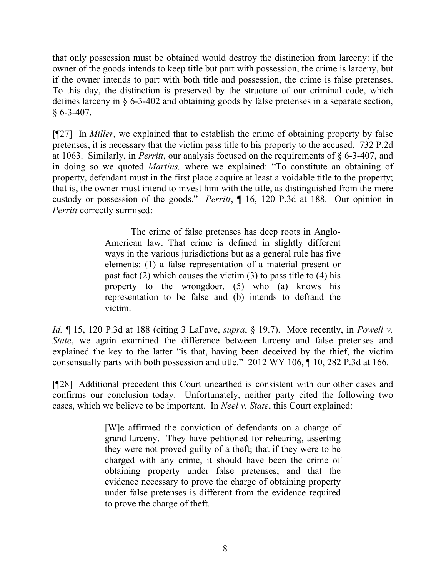that only possession must be obtained would destroy the distinction from larceny: if the owner of the goods intends to keep title but part with possession, the crime is larceny, but if the owner intends to part with both title and possession, the crime is false pretenses. To this day, the distinction is preserved by the structure of our criminal code, which defines larceny in § 6-3-402 and obtaining goods by false pretenses in a separate section,  $§ 6 - 3 - 407.$ 

[¶27] In *Miller*, we explained that to establish the crime of obtaining property by false pretenses, it is necessary that the victim pass title to his property to the accused. 732 P.2d at 1063. Similarly, in *Perritt*, our analysis focused on the requirements of § 6-3-407, and in doing so we quoted *Martins,* where we explained: "To constitute an obtaining of property, defendant must in the first place acquire at least a voidable title to the property; that is, the owner must intend to invest him with the title, as distinguished from the mere custody or possession of the goods." *Perritt*, ¶ 16, 120 P.3d at 188. Our opinion in *Perritt* correctly surmised:

> The crime of false pretenses has deep roots in Anglo-American law. That crime is defined in slightly different ways in the various jurisdictions but as a general rule has five elements: (1) a false representation of a material present or past fact  $(2)$  which causes the victim  $(3)$  to pass title to  $(4)$  his property to the wrongdoer, (5) who (a) knows his representation to be false and (b) intends to defraud the victim.

*Id.* ¶ 15, 120 P.3d at 188 (citing 3 LaFave, *supra*, § 19.7). More recently, in *Powell v. State*, we again examined the difference between larceny and false pretenses and explained the key to the latter "is that, having been deceived by the thief, the victim consensually parts with both possession and title." 2012 WY 106, ¶ 10, 282 P.3d at 166.

[¶28] Additional precedent this Court unearthed is consistent with our other cases and confirms our conclusion today. Unfortunately, neither party cited the following two cases, which we believe to be important. In *Neel v. State*, this Court explained:

> [W]e affirmed the conviction of defendants on a charge of grand larceny. They have petitioned for rehearing, asserting they were not proved guilty of a theft; that if they were to be charged with any crime, it should have been the crime of obtaining property under false pretenses; and that the evidence necessary to prove the charge of obtaining property under false pretenses is different from the evidence required to prove the charge of theft.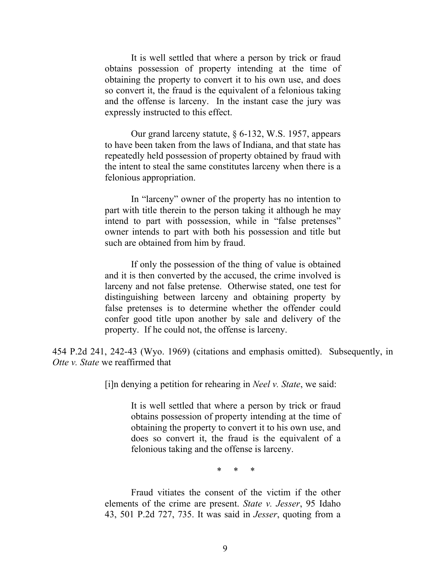It is well settled that where a person by trick or fraud obtains possession of property intending at the time of obtaining the property to convert it to his own use, and does so convert it, the fraud is the equivalent of a felonious taking and the offense is larceny. In the instant case the jury was expressly instructed to this effect.

Our grand larceny statute, § 6-132, W.S. 1957, appears to have been taken from the laws of Indiana, and that state has repeatedly held possession of property obtained by fraud with the intent to steal the same constitutes larceny when there is a felonious appropriation.

In "larceny" owner of the property has no intention to part with title therein to the person taking it although he may intend to part with possession, while in "false pretenses" owner intends to part with both his possession and title but such are obtained from him by fraud.

If only the possession of the thing of value is obtained and it is then converted by the accused, the crime involved is larceny and not false pretense. Otherwise stated, one test for distinguishing between larceny and obtaining property by false pretenses is to determine whether the offender could confer good title upon another by sale and delivery of the property. If he could not, the offense is larceny.

454 P.2d 241, 242-43 (Wyo. 1969) (citations and emphasis omitted). Subsequently, in *Otte v. State* we reaffirmed that

[i]n denying a petition for rehearing in *Neel v. State*, we said:

It is well settled that where a person by trick or fraud obtains possession of property intending at the time of obtaining the property to convert it to his own use, and does so convert it, the fraud is the equivalent of a felonious taking and the offense is larceny.

\* \* \*

Fraud vitiates the consent of the victim if the other elements of the crime are present. *State v. Jesser*, 95 Idaho 43, 501 P.2d 727, 735. It was said in *Jesser*, quoting from a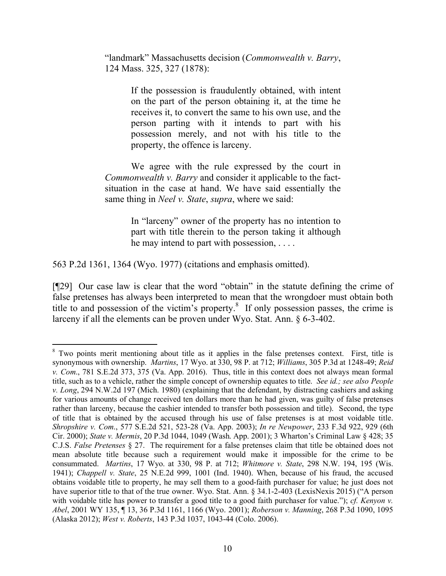"landmark" Massachusetts decision (*Commonwealth v. Barry*, 124 Mass. 325, 327 (1878):

> If the possession is fraudulently obtained, with intent on the part of the person obtaining it, at the time he receives it, to convert the same to his own use, and the person parting with it intends to part with his possession merely, and not with his title to the property, the offence is larceny.

We agree with the rule expressed by the court in *Commonwealth v. Barry* and consider it applicable to the factsituation in the case at hand. We have said essentially the same thing in *Neel v. State*, *supra*, where we said:

> In "larceny" owner of the property has no intention to part with title therein to the person taking it although he may intend to part with possession, . . . .

563 P.2d 1361, 1364 (Wyo. 1977) (citations and emphasis omitted).

[¶29] Our case law is clear that the word "obtain" in the statute defining the crime of false pretenses has always been interpreted to mean that the wrongdoer must obtain both title to and possession of the victim's property. $\delta$  If only possession passes, the crime is larceny if all the elements can be proven under Wyo. Stat. Ann. § 6-3-402.

l <sup>8</sup> Two points merit mentioning about title as it applies in the false pretenses context. First, title is synonymous with ownership. *Martins*, 17 Wyo. at 330, 98 P. at 712; *Williams*, 305 P.3d at 1248-49; *Reid v. Com*., 781 S.E.2d 373, 375 (Va. App. 2016). Thus, title in this context does not always mean formal title, such as to a vehicle, rather the simple concept of ownership equates to title. *See id.; see also People v. Long*, 294 N.W.2d 197 (Mich. 1980) (explaining that the defendant, by distracting cashiers and asking for various amounts of change received ten dollars more than he had given, was guilty of false pretenses rather than larceny, because the cashier intended to transfer both possession and title). Second, the type of title that is obtained by the accused through his use of false pretenses is at most voidable title. *Shropshire v. Com*., 577 S.E.2d 521, 523-28 (Va. App. 2003); *In re Newpower*, 233 F.3d 922, 929 (6th Cir. 2000); *State v. Mermis*, 20 P.3d 1044, 1049 (Wash. App. 2001); 3 Wharton's Criminal Law § 428; 35 C.J.S. *False Pretenses* § 27. The requirement for a false pretenses claim that title be obtained does not mean absolute title because such a requirement would make it impossible for the crime to be consummated. *Martins*, 17 Wyo. at 330, 98 P. at 712; *Whitmore v. State*, 298 N.W. 194, 195 (Wis. 1941); *Chappell v. State*, 25 N.E.2d 999, 1001 (Ind. 1940). When, because of his fraud, the accused obtains voidable title to property, he may sell them to a good-faith purchaser for value; he just does not have superior title to that of the true owner. Wyo. Stat. Ann. § 34.1-2-403 (LexisNexis 2015) ("A person with voidable title has power to transfer a good title to a good faith purchaser for value."); *cf. Kenyon v. Abel*, 2001 WY 135, ¶ 13, 36 P.3d 1161, 1166 (Wyo. 2001); *Roberson v. Manning*, 268 P.3d 1090, 1095 (Alaska 2012); *West v. Roberts*, 143 P.3d 1037, 1043-44 (Colo. 2006).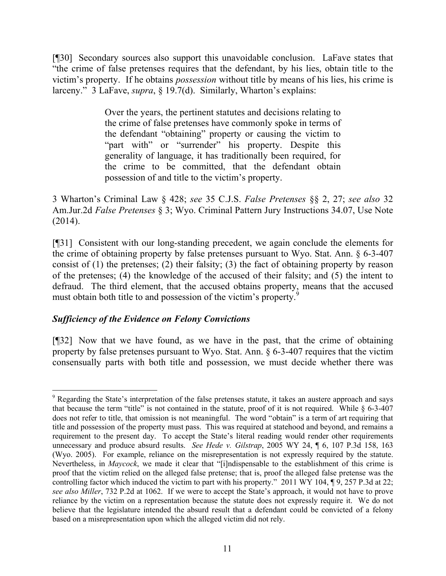[¶30] Secondary sources also support this unavoidable conclusion. LaFave states that "the crime of false pretenses requires that the defendant, by his lies, obtain title to the victim's property. If he obtains *possession* without title by means of his lies, his crime is larceny." 3 LaFave, *supra*, § 19.7(d). Similarly, Wharton's explains:

> Over the years, the pertinent statutes and decisions relating to the crime of false pretenses have commonly spoke in terms of the defendant "obtaining" property or causing the victim to "part with" or "surrender" his property. Despite this generality of language, it has traditionally been required, for the crime to be committed, that the defendant obtain possession of and title to the victim's property.

3 Wharton's Criminal Law § 428; *see* 35 C.J.S. *False Pretenses* §§ 2, 27; *see also* 32 Am.Jur.2d *False Pretenses* § 3; Wyo. Criminal Pattern Jury Instructions 34.07, Use Note (2014).

[¶31] Consistent with our long-standing precedent, we again conclude the elements for the crime of obtaining property by false pretenses pursuant to Wyo. Stat. Ann. § 6-3-407 consist of  $(1)$  the pretenses;  $(2)$  their falsity;  $(3)$  the fact of obtaining property by reason of the pretenses; (4) the knowledge of the accused of their falsity; and (5) the intent to defraud. The third element, that the accused obtains property, means that the accused must obtain both title to and possession of the victim's property.<sup>9</sup>

## *Sufficiency of the Evidence on Felony Convictions*

 $\overline{a}$ 

[¶32] Now that we have found, as we have in the past, that the crime of obtaining property by false pretenses pursuant to Wyo. Stat. Ann. § 6-3-407 requires that the victim consensually parts with both title and possession, we must decide whether there was

<sup>&</sup>lt;sup>9</sup> Regarding the State's interpretation of the false pretenses statute, it takes an austere approach and says that because the term "title" is not contained in the statute, proof of it is not required. While § 6-3-407 does not refer to title, that omission is not meaningful. The word "obtain" is a term of art requiring that title and possession of the property must pass. This was required at statehood and beyond, and remains a requirement to the present day. To accept the State's literal reading would render other requirements unnecessary and produce absurd results. *See Hede v. Gilstrap*, 2005 WY 24, ¶ 6, 107 P.3d 158, 163 (Wyo. 2005). For example, reliance on the misrepresentation is not expressly required by the statute. Nevertheless, in *Maycock*, we made it clear that "[i]ndispensable to the establishment of this crime is proof that the victim relied on the alleged false pretense; that is, proof the alleged false pretense was the controlling factor which induced the victim to part with his property." 2011 WY 104, ¶ 9, 257 P.3d at 22; *see also Miller*, 732 P.2d at 1062. If we were to accept the State's approach, it would not have to prove reliance by the victim on a representation because the statute does not expressly require it. We do not believe that the legislature intended the absurd result that a defendant could be convicted of a felony based on a misrepresentation upon which the alleged victim did not rely.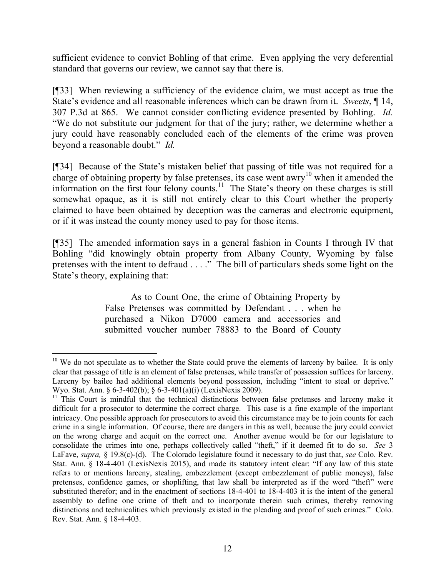sufficient evidence to convict Bohling of that crime. Even applying the very deferential standard that governs our review, we cannot say that there is.

[¶33] When reviewing a sufficiency of the evidence claim, we must accept as true the State's evidence and all reasonable inferences which can be drawn from it. *Sweets*, ¶ 14, 307 P.3d at 865. We cannot consider conflicting evidence presented by Bohling. *Id.* "We do not substitute our judgment for that of the jury; rather, we determine whether a jury could have reasonably concluded each of the elements of the crime was proven beyond a reasonable doubt." *Id.*

[¶34] Because of the State's mistaken belief that passing of title was not required for a charge of obtaining property by false pretenses, its case went awry<sup>10</sup> when it amended the information on the first four felony counts.<sup>11</sup> The State's theory on these charges is still somewhat opaque, as it is still not entirely clear to this Court whether the property claimed to have been obtained by deception was the cameras and electronic equipment, or if it was instead the county money used to pay for those items.

[¶35] The amended information says in a general fashion in Counts I through IV that Bohling "did knowingly obtain property from Albany County, Wyoming by false pretenses with the intent to defraud . . . ." The bill of particulars sheds some light on the State's theory, explaining that:

> As to Count One, the crime of Obtaining Property by False Pretenses was committed by Defendant . . . when he purchased a Nikon D7000 camera and accessories and submitted voucher number 78883 to the Board of County

 $\overline{a}$  $10$  We do not speculate as to whether the State could prove the elements of larceny by bailee. It is only clear that passage of title is an element of false pretenses, while transfer of possession suffices for larceny. Larceny by bailee had additional elements beyond possession, including "intent to steal or deprive." Wyo. Stat. Ann. § 6-3-402(b); § 6-3-401(a)(i) (LexisNexis 2009).

 $11$  This Court is mindful that the technical distinctions between false pretenses and larceny make it difficult for a prosecutor to determine the correct charge. This case is a fine example of the important intricacy. One possible approach for prosecutors to avoid this circumstance may be to join counts for each crime in a single information. Of course, there are dangers in this as well, because the jury could convict on the wrong charge and acquit on the correct one. Another avenue would be for our legislature to consolidate the crimes into one, perhaps collectively called "theft," if it deemed fit to do so. *See* 3 LaFave, *supra,* § 19.8(c)-(d). The Colorado legislature found it necessary to do just that, *see* Colo. Rev. Stat. Ann. § 18-4-401 (LexisNexis 2015), and made its statutory intent clear: "If any law of this state refers to or mentions larceny, stealing, embezzlement (except embezzlement of public moneys), false pretenses, confidence games, or shoplifting, that law shall be interpreted as if the word "theft" were substituted therefor; and in the enactment of sections 18-4-401 to 18-4-403 it is the intent of the general assembly to define one crime of theft and to incorporate therein such crimes, thereby removing distinctions and technicalities which previously existed in the pleading and proof of such crimes." Colo. Rev. Stat. Ann. § 18-4-403.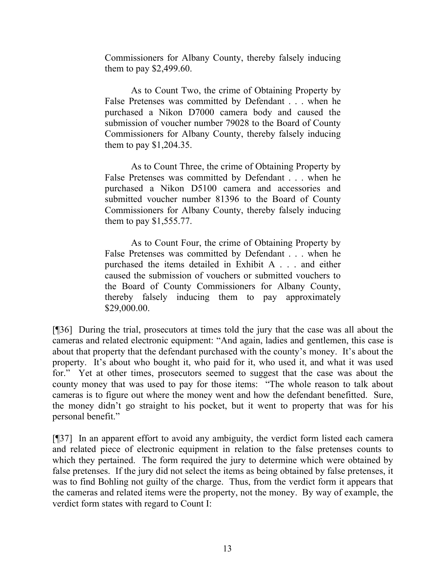Commissioners for Albany County, thereby falsely inducing them to pay \$2,499.60.

As to Count Two, the crime of Obtaining Property by False Pretenses was committed by Defendant . . . when he purchased a Nikon D7000 camera body and caused the submission of voucher number 79028 to the Board of County Commissioners for Albany County, thereby falsely inducing them to pay \$1,204.35.

As to Count Three, the crime of Obtaining Property by False Pretenses was committed by Defendant . . . when he purchased a Nikon D5100 camera and accessories and submitted voucher number 81396 to the Board of County Commissioners for Albany County, thereby falsely inducing them to pay \$1,555.77.

As to Count Four, the crime of Obtaining Property by False Pretenses was committed by Defendant . . . when he purchased the items detailed in Exhibit A . . . and either caused the submission of vouchers or submitted vouchers to the Board of County Commissioners for Albany County, thereby falsely inducing them to pay approximately \$29,000.00.

[¶36] During the trial, prosecutors at times told the jury that the case was all about the cameras and related electronic equipment: "And again, ladies and gentlemen, this case is about that property that the defendant purchased with the county's money. It's about the property. It's about who bought it, who paid for it, who used it, and what it was used for." Yet at other times, prosecutors seemed to suggest that the case was about the county money that was used to pay for those items: "The whole reason to talk about cameras is to figure out where the money went and how the defendant benefitted. Sure, the money didn't go straight to his pocket, but it went to property that was for his personal benefit."

[¶37] In an apparent effort to avoid any ambiguity, the verdict form listed each camera and related piece of electronic equipment in relation to the false pretenses counts to which they pertained. The form required the jury to determine which were obtained by false pretenses. If the jury did not select the items as being obtained by false pretenses, it was to find Bohling not guilty of the charge. Thus, from the verdict form it appears that the cameras and related items were the property, not the money. By way of example, the verdict form states with regard to Count I: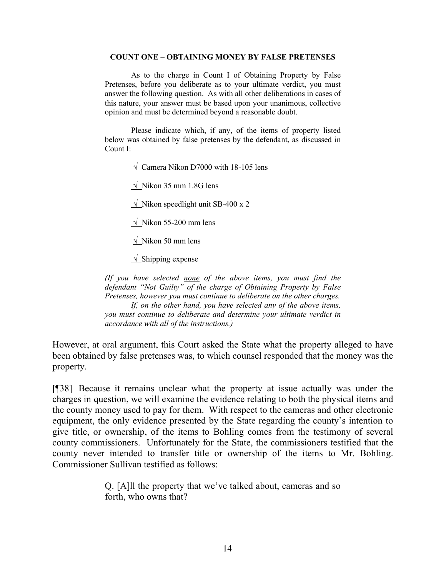#### **COUNT ONE – OBTAINING MONEY BY FALSE PRETENSES**

As to the charge in Count I of Obtaining Property by False Pretenses, before you deliberate as to your ultimate verdict, you must answer the following question. As with all other deliberations in cases of this nature, your answer must be based upon your unanimous, collective opinion and must be determined beyond a reasonable doubt.

Please indicate which, if any, of the items of property listed below was obtained by false pretenses by the defendant, as discussed in Count I:

 $\sqrt{\frac{2}{\text{Camera}}}\$  Nikon D7000 with 18-105 lens

 $\sqrt{\phantom{a}}$  Nikon 35 mm 1.8G lens

 $\sqrt{\phantom{a}}$  Nikon speedlight unit SB-400 x 2

 $\sqrt{\ }$  Nikon 55-200 mm lens

 $\sqrt{\phantom{a}}$  Nikon 50 mm lens

 $\sqrt{\frac{1}{1}}$ Shipping expense

*(If you have selected none of the above items, you must find the defendant "Not Guilty" of the charge of Obtaining Property by False Pretenses, however you must continue to deliberate on the other charges. If, on the other hand, you have selected any of the above items, you must continue to deliberate and determine your ultimate verdict in* 

*accordance with all of the instructions.)*

However, at oral argument, this Court asked the State what the property alleged to have been obtained by false pretenses was, to which counsel responded that the money was the property.

[¶38] Because it remains unclear what the property at issue actually was under the charges in question, we will examine the evidence relating to both the physical items and the county money used to pay for them. With respect to the cameras and other electronic equipment, the only evidence presented by the State regarding the county's intention to give title, or ownership, of the items to Bohling comes from the testimony of several county commissioners. Unfortunately for the State, the commissioners testified that the county never intended to transfer title or ownership of the items to Mr. Bohling. Commissioner Sullivan testified as follows:

> Q. [A]ll the property that we've talked about, cameras and so forth, who owns that?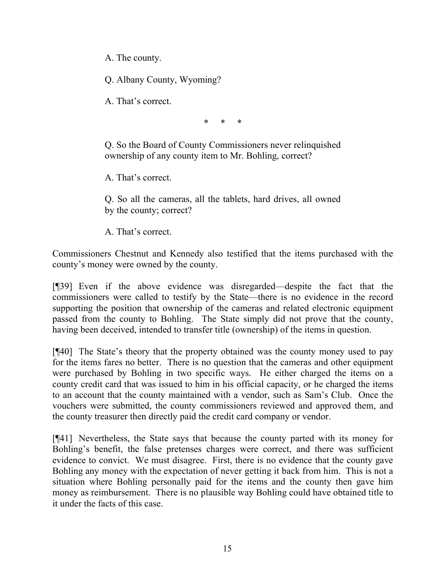A. The county.

Q. Albany County, Wyoming?

A. That's correct.

\* \* \*

Q. So the Board of County Commissioners never relinquished ownership of any county item to Mr. Bohling, correct?

A. That's correct.

Q. So all the cameras, all the tablets, hard drives, all owned by the county; correct?

A. That's correct.

Commissioners Chestnut and Kennedy also testified that the items purchased with the county's money were owned by the county.

[¶39] Even if the above evidence was disregarded—despite the fact that the commissioners were called to testify by the State—there is no evidence in the record supporting the position that ownership of the cameras and related electronic equipment passed from the county to Bohling. The State simply did not prove that the county, having been deceived, intended to transfer title (ownership) of the items in question.

[¶40] The State's theory that the property obtained was the county money used to pay for the items fares no better. There is no question that the cameras and other equipment were purchased by Bohling in two specific ways. He either charged the items on a county credit card that was issued to him in his official capacity, or he charged the items to an account that the county maintained with a vendor, such as Sam's Club. Once the vouchers were submitted, the county commissioners reviewed and approved them, and the county treasurer then directly paid the credit card company or vendor.

[¶41] Nevertheless, the State says that because the county parted with its money for Bohling's benefit, the false pretenses charges were correct, and there was sufficient evidence to convict. We must disagree. First, there is no evidence that the county gave Bohling any money with the expectation of never getting it back from him. This is not a situation where Bohling personally paid for the items and the county then gave him money as reimbursement. There is no plausible way Bohling could have obtained title to it under the facts of this case.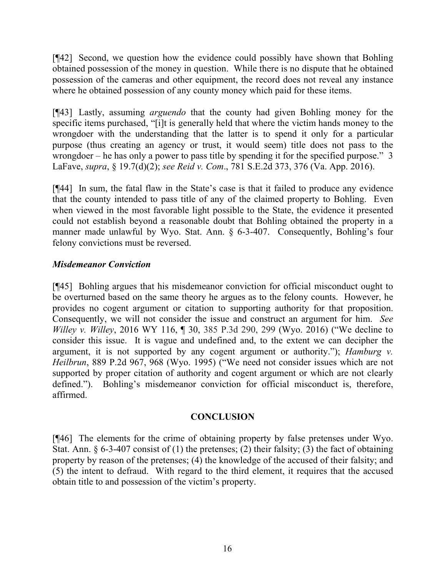[¶42] Second, we question how the evidence could possibly have shown that Bohling obtained possession of the money in question. While there is no dispute that he obtained possession of the cameras and other equipment, the record does not reveal any instance where he obtained possession of any county money which paid for these items.

[¶43] Lastly, assuming *arguendo* that the county had given Bohling money for the specific items purchased, "[i]t is generally held that where the victim hands money to the wrongdoer with the understanding that the latter is to spend it only for a particular purpose (thus creating an agency or trust, it would seem) title does not pass to the wrongdoer – he has only a power to pass title by spending it for the specified purpose." 3 LaFave, *supra*, § 19.7(d)(2); *see Reid v. Com*., 781 S.E.2d 373, 376 (Va. App. 2016).

[¶44] In sum, the fatal flaw in the State's case is that it failed to produce any evidence that the county intended to pass title of any of the claimed property to Bohling. Even when viewed in the most favorable light possible to the State, the evidence it presented could not establish beyond a reasonable doubt that Bohling obtained the property in a manner made unlawful by Wyo. Stat. Ann. § 6-3-407. Consequently, Bohling's four felony convictions must be reversed.

## *Misdemeanor Conviction*

[¶45] Bohling argues that his misdemeanor conviction for official misconduct ought to be overturned based on the same theory he argues as to the felony counts. However, he provides no cogent argument or citation to supporting authority for that proposition. Consequently, we will not consider the issue and construct an argument for him. *See Willey v. Willey*, 2016 WY 116, ¶ 30, 385 P.3d 290, 299 (Wyo. 2016) ("We decline to consider this issue. It is vague and undefined and, to the extent we can decipher the argument, it is not supported by any cogent argument or authority."); *Hamburg v. Heilbrun*, 889 P.2d 967, 968 (Wyo. 1995) ("We need not consider issues which are not supported by proper citation of authority and cogent argument or which are not clearly defined."). Bohling's misdemeanor conviction for official misconduct is, therefore, affirmed.

## **CONCLUSION**

[¶46] The elements for the crime of obtaining property by false pretenses under Wyo. Stat. Ann.  $\S 6-3-407$  consist of (1) the pretenses; (2) their falsity; (3) the fact of obtaining property by reason of the pretenses; (4) the knowledge of the accused of their falsity; and (5) the intent to defraud. With regard to the third element, it requires that the accused obtain title to and possession of the victim's property.